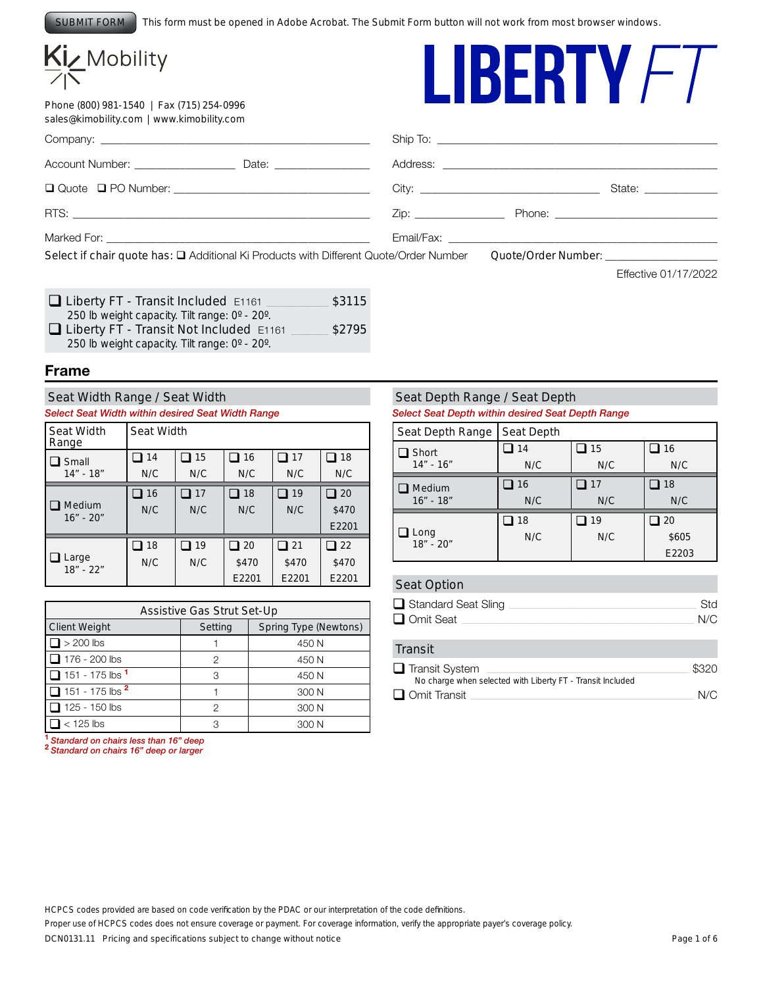This form must be opened in Adobe Acrobat. The Submit Form button will not work from most browser windows. SUBMIT FORM

# Kiz Mobility

Phone (800) 981-1540 | Fax (715) 254-0996 sales@kimobility.com | www.kimobility.com



|                                                                                                                                         |                                                                                                                | State: National Contract of State: |
|-----------------------------------------------------------------------------------------------------------------------------------------|----------------------------------------------------------------------------------------------------------------|------------------------------------|
|                                                                                                                                         | Zip: Thome: The Phone: The Contract of the Contract of the Contract of the Contract of the Contract of the Con |                                    |
|                                                                                                                                         |                                                                                                                |                                    |
| Select if chair quote has: □ Additional Ki Products with Different Quote/Order Number Quote/Order Number: _____________________________ |                                                                                                                |                                    |

Effective 01/17/2022

| Liberty FT - Transit Included E1161            | \$3115 |
|------------------------------------------------|--------|
| 250 lb weight capacity. Tilt range: 0° - 20°.  |        |
| $\Box$ Liberty FT - Transit Not Included E1161 | \$2795 |
| 250 lb weight capacity. Tilt range: 0° - 20°.  |        |

#### **Frame**

#### Seat Width Range / Seat Width

#### *Select Seat Width within desired Seat Width Range*

| <b>Seat Width</b><br>Range | Seat Width |     |           |       |       |  |
|----------------------------|------------|-----|-----------|-------|-------|--|
| Small                      | 14         | 15  | ■ 16      | 17    | 18    |  |
| $14" - 18"$                | N/C        | N/C | N/C       | N/C   | N/C   |  |
|                            | 16         | 17  | 18        | 19    | 20    |  |
| Medium<br>$16" - 20"$      | N/C        | N/C | N/C       | N/C   | \$470 |  |
|                            |            |     |           |       | E2201 |  |
|                            | $\Box$ 18  | 19  | $\Box$ 20 | 121 ⊑ | 22    |  |
| Large<br>$18" - 22"$       | N/C        | N/C | \$470     | \$470 | \$470 |  |
|                            |            |     | E2201     | E2201 | E2201 |  |

| Assistive Gas Strut Set-Up                                      |   |       |  |  |  |
|-----------------------------------------------------------------|---|-------|--|--|--|
| <b>Spring Type (Newtons)</b><br><b>Client Weight</b><br>Setting |   |       |  |  |  |
| $\geq 200$ lbs                                                  |   | 450 N |  |  |  |
| 176 - 200 lbs                                                   | 2 | 450 N |  |  |  |
| $\Box$ 151 - 175 lbs $^1$                                       | З | 450 N |  |  |  |
| $\Box$ 151 - 175 lbs $^{\text{2}}$                              |   | 300 N |  |  |  |
| 1 125 - 150 lbs                                                 | 2 | 300 N |  |  |  |
| $<$ 125 lbs                                                     | З | 300 N |  |  |  |

**<sup>1</sup>***Standard on chairs less than 16" deep* **<sup>2</sup>***Standard on chairs 16" deep or larger*

#### Seat Depth Range / Seat Depth

*Select Seat Depth within desired Seat Depth Range* 

| Seat Depth Range    | Seat Depth |     |       |
|---------------------|------------|-----|-------|
| Short               | 14         | 15  | 16    |
| $14" - 16"$         | N/C        | N/C | N/C   |
| Medium              | 16         | 17  | 18    |
| $16" - 18"$         | N/C        | N/C | N/C   |
|                     | 18         | 19  | 20    |
| Long<br>$18" - 20"$ | N/C        | N/C | \$605 |
|                     |            |     | E2203 |

#### Seat Option

| $\Box$ Standard Seat Sling | Std |
|----------------------------|-----|
| Omit Seat                  | N/C |

#### **Transit**

| $\Box$ Transit System                                      | \$320 |
|------------------------------------------------------------|-------|
| No charge when selected with Liberty FT - Transit Included |       |
| $\Box$ Omit Transit                                        | N/C   |

*HCPCS codes provided are based on code verification by the PDAC or our interpretation of the code definitions.*

*Proper use of HCPCS codes does not ensure coverage or payment. For coverage information, verify the appropriate payer's coverage policy.*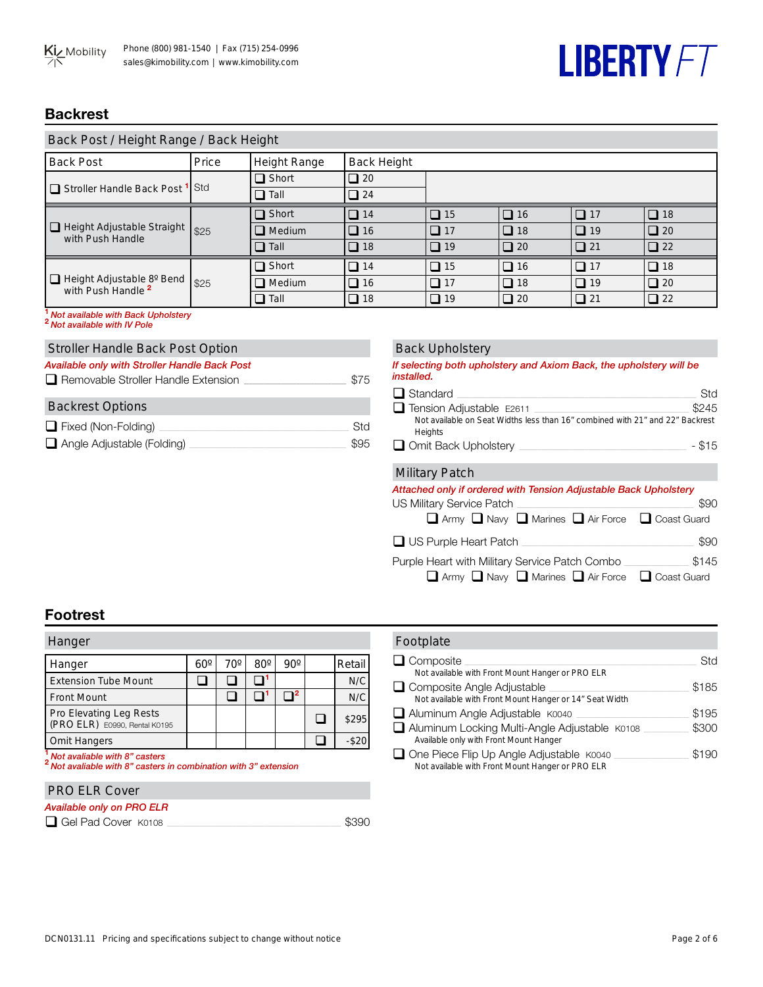## **LIBERTY FT**

## **Backrest**

| Back Post / Height Range / Back Height                       |       |                     |                    |           |           |           |              |
|--------------------------------------------------------------|-------|---------------------|--------------------|-----------|-----------|-----------|--------------|
| <b>Back Post</b>                                             | Price | <b>Height Range</b> | <b>Back Height</b> |           |           |           |              |
| Stroller Handle Back Post <sup>1</sup> Std                   |       | $\Box$ Short        | $\Box$ 20          |           |           |           |              |
|                                                              |       | $\Box$ Tall         | $\Box$ 24          |           |           |           |              |
|                                                              |       | $\Box$ Short        | $\Box$ 14          | $\Box$ 15 | $\Box$ 16 | $\Box$ 17 | $\Box$ 18    |
| Height Adjustable Straight<br>with Push Handle               | \$25  | $\Box$ Medium       | $\Box$ 16          | $\Box$ 17 | $\Box$ 18 | $\Box$ 19 | $\Box$ 20    |
|                                                              |       | $\Box$ Tall         | $\Box$ 18          | $\Box$ 19 | $\Box$ 20 | $\Box$ 21 | $\square$ 22 |
|                                                              |       | $\Box$ Short        | $\Box$ 14          | $\Box$ 15 | $\Box$ 16 | $\Box$ 17 | $\Box$ 18    |
| □ Height Adjustable 8° Bend<br>with Push Handle <sup>2</sup> | \$25  | $\Box$ Medium       | $\Box$ 16          | $\Box$ 17 | $\Box$ 18 | $\Box$ 19 | $\Box$ 20    |
|                                                              |       | $\Box$ Tall         | $\Box$ 18          | $\Box$ 19 | $\Box$ 20 | $\Box$ 21 | $\square$ 22 |

**<sup>1</sup>***Not available with Back Upholstery* **<sup>2</sup>***Not available with IV Pole*

### Stroller Handle Back Post Option

| Available only with Stroller Handle Back Post<br>$\Box$ Removable Stroller Handle Extension | \$75 |
|---------------------------------------------------------------------------------------------|------|
| <b>Backrest Options</b>                                                                     |      |
| Fixed (Non-Folding)                                                                         | Std  |
| $\Box$ Angle Adjustable (Folding)                                                           | \$95 |

| <b>Back Upholstery</b> |  |  |
|------------------------|--|--|
|                        |  |  |

| If selecting both upholstery and Axiom Back, the upholstery will be<br><i>installed.</i>                                                                         |                    |
|------------------------------------------------------------------------------------------------------------------------------------------------------------------|--------------------|
| $\Box$ Standard                                                                                                                                                  | Std                |
| $\Box$ Tension Adjustable E2611<br>the control of the control of the<br>Not available on Seat Widths less than 16" combined with 21" and 22" Backrest<br>Heights | \$245              |
| $\Box$ Omit Back Upholstery                                                                                                                                      | $-$ \$15           |
| <b>Military Patch</b>                                                                                                                                            |                    |
| Attached only if ordered with Tension Adjustable Back Upholstery                                                                                                 |                    |
| US Military Service Patch                                                                                                                                        | \$90               |
| $\Box$ Army $\Box$ Navy $\Box$ Marines $\Box$ Air Force $\Box$ Coast Guard                                                                                       |                    |
| $\Box$ US Purple Heart Patch                                                                                                                                     | \$90               |
| Purple Heart with Military Service Patch Combo _                                                                                                                 | \$145              |
| $\Box$ Army $\Box$ Navy $\Box$ Marines $\Box$ Air Force                                                                                                          | $\Box$ Coast Guard |

## **Footrest**

| Hanger                                                   |            |     |              |     |        |
|----------------------------------------------------------|------------|-----|--------------|-----|--------|
| Hanger                                                   | $60^\circ$ | 70° | $80^{\circ}$ | 90° | Retail |
| <b>Extension Tube Mount</b>                              |            |     |              |     | N/C    |
| <b>Front Mount</b>                                       |            |     |              |     | N/C    |
| Pro Elevating Leg Rests<br>(PRO ELR) E0990, Rental K0195 |            |     |              |     | \$295  |
| <b>Omit Hangers</b>                                      |            |     |              |     |        |

**<sup>1</sup>***Not avaliable with 8" casters* **<sup>2</sup>***Not avaliable with 8" casters in combination with 3" extension*

#### PRO ELR Cover

#### *Available only on PRO ELR*

q Gel Pad Cover K0108 \_\_\_\_\_\_\_\_\_\_\_\_\_\_\_\_\_\_\_\_\_\_\_\_\_\_\_\_\_\_\_\_\_\_\_\_\_\_\_\_\_\_\_\_\_\_\_\_\_\_\_\_\_\_\_\_\_\_\_\_\_\_\_\_\_\_\_\_\_\_ \$390

| Footplate                                                                                             |       |
|-------------------------------------------------------------------------------------------------------|-------|
| $\Box$ Composite                                                                                      | Std   |
| Not available with Front Mount Hanger or PRO ELR                                                      |       |
| $\Box$ Composite Angle Adjustable                                                                     | \$185 |
| Not available with Front Mount Hanger or 14" Seat Width                                               |       |
| $\Box$ Aluminum Angle Adjustable $K0040$                                                              | \$195 |
| Aluminum Locking Multi-Angle Adjustable K0108<br>Available only with Front Mount Hanger               | \$300 |
| $\Box$ One Piece Flip Up Angle Adjustable $K0040$<br>Not available with Front Mount Hanger or PRO ELR | \$190 |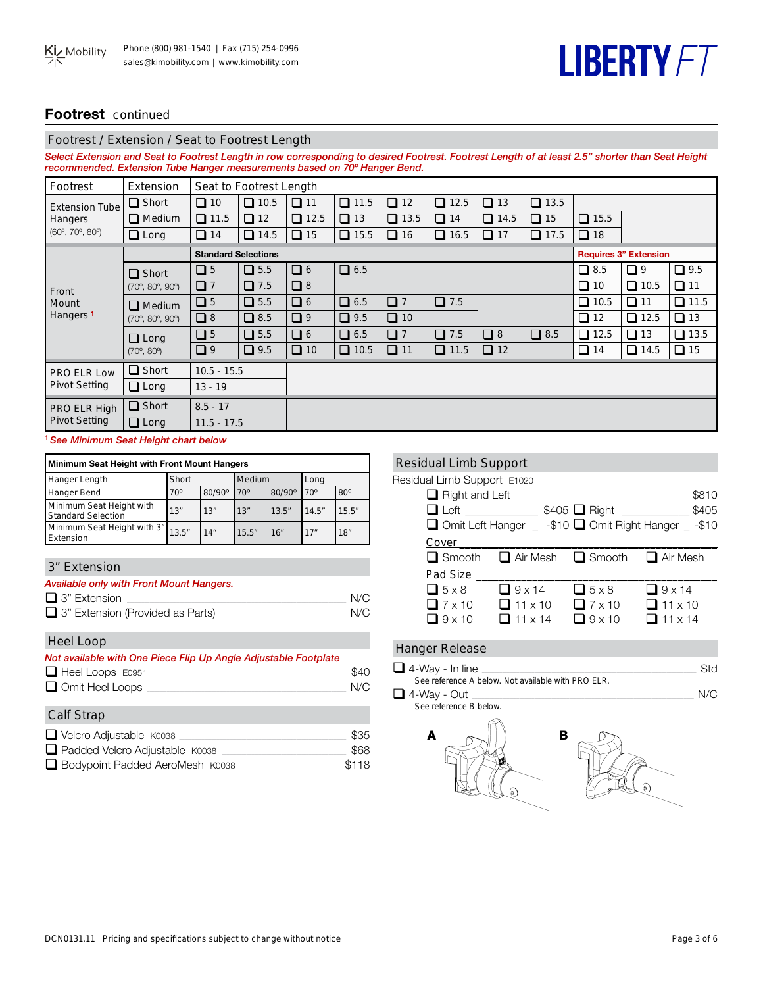## **LIBERTY FT**

## **Footrest** continued

#### Footrest / Extension / Seat to Footrest Length

*Select Extension and Seat to Footrest Length in row corresponding to desired Footrest. Footrest Length of at least 2.5" shorter than Seat Height recommended. Extension Tube Hanger measurements based on 70º Hanger Bend.* 

| Footrest                               | Extension                              |                            | Seat to Footrest Length |             |             |             |                |             |             |             |                              |             |
|----------------------------------------|----------------------------------------|----------------------------|-------------------------|-------------|-------------|-------------|----------------|-------------|-------------|-------------|------------------------------|-------------|
| <b>Extension Tube</b>                  | $\Box$ Short                           | $\Box$ 10                  | $\Box$ 10.5             | $\Box$ 11   | $\Box$ 11.5 | $\Box$ 12   | $\Box$<br>12.5 | $\Box$ 13   | $\Box$ 13.5 |             |                              |             |
| Hangers                                | $\Box$ Medium                          | $\Box$ 11.5                | $\Box$ 12               | $\Box$ 12.5 | $\Box$ 13   | $\Box$ 13.5 | $\Box$ 14      | $\Box$ 14.5 | $\Box$ 15   | $\Box$ 15.5 |                              |             |
| $(60^{\circ}, 70^{\circ}, 80^{\circ})$ | $\Box$ Long                            | $\Box$ 14                  | $\Box$ 14.5             | $\Box$ 15   | $\Box$ 15.5 | $\Box$ 16   | $\Box$ 16.5    | $\Box$ 17   | $\Box$ 17.5 | $\Box$ 18   |                              |             |
|                                        |                                        | <b>Standard Selections</b> |                         |             |             |             |                |             |             |             | <b>Requires 3" Extension</b> |             |
|                                        | $\Box$ Short                           | $\Box$ 5                   | $\Box$ 5.5              | $\Box$ 6    | $\Box$ 6.5  |             |                |             |             | $\Box$ 8.5  | $\Box$ 9                     | $\Box$ 9.5  |
| Front                                  | $(70^{\circ}, 80^{\circ}, 90^{\circ})$ | $\Box$ 7                   | $\Box$ 7.5              | $\Box$ 8    |             |             |                |             |             | $\Box$ 10   | $\Box$ 10.5                  | $\Box$ 11   |
| Mount                                  | $\Box$ Medium                          | $\Box$ 5                   | $\Box$ 5.5              | $\Box$ 6    | $\Box$ 6.5  | $\Box$      | $\Box$ 7.5     |             |             | $\Box$ 10.5 | $\Box$ 11                    | $\Box$ 11.5 |
| Hangers <sup>1</sup>                   | $(70^{\circ}, 80^{\circ}, 90^{\circ})$ | $\Box$ 8                   | $\Box$ 8.5              | $\Box$      | $\Box$ 9.5  | $\Box$ 10   |                |             |             | $\Box$ 12   | $\Box$ 12.5                  | $\Box$ 13   |
|                                        | $\Box$ Long                            | $\Box$ 5                   | $\Box$ 5.5              | $\Box$ 6    | $\Box$ 6.5  | $\Box$ 7    | $\Box$ 7.5     | $\Box$ 8    | $\Box$ 8.5  | $\Box$ 12.5 | $\Box$ 13                    | $\Box$ 13.5 |
|                                        | $(70^{\circ}, 80^{\circ})$             | $\Box$                     | $\Box$ 9.5              | $\Box$ 10   | $\Box$ 10.5 | $\Box$ 11   | $\Box$ 11.5    | $\Box$ 12   |             | $\Box$ 14   | $\Box$ 14.5                  | $\Box$ 15   |
| PRO ELR Low                            | $\Box$ Short                           | $10.5 - 15.5$              |                         |             |             |             |                |             |             |             |                              |             |
| <b>Pivot Setting</b>                   | $\Box$ Long                            | $13 - 19$                  |                         |             |             |             |                |             |             |             |                              |             |
| PRO ELR High                           | $\Box$ Short                           | $8.5 - 17$                 |                         |             |             |             |                |             |             |             |                              |             |
| <b>Pivot Setting</b>                   | $\Box$ Long                            |                            | $11.5 - 17.5$           |             |             |             |                |             |             |             |                              |             |

#### **<sup>1</sup>** *See Minimum Seat Height chart below*

| <b>Minimum Seat Height with Front Mount Hangers</b>   |            |               |              |               |              |            |  |
|-------------------------------------------------------|------------|---------------|--------------|---------------|--------------|------------|--|
| Short<br>Medium<br>Hanger Length<br>Long              |            |               |              |               |              |            |  |
| <b>Hanger Bend</b>                                    | $70^\circ$ | $80/90^\circ$ | $70^{\circ}$ | $80/90^\circ$ | $70^{\circ}$ | $80^\circ$ |  |
| Minimum Seat Height with<br><b>Standard Selection</b> | 13"        | 13"           | 13"          | 13.5''        | 14.5"        | 15.5''     |  |
| Minimum Seat Height with 3" 13.5"<br>Extension        |            | 14"           | 15.5''       | 16"           | 17"          | 18"        |  |

### 3" Extension

| <b>Available only with Front Mount Hangers.</b> |     |
|-------------------------------------------------|-----|
| $\Box$ 3" Extension                             | N/C |
| $\Box$ 3" Extension (Provided as Parts)         | N/C |

#### Heel Loop

| Not available with One Piece Flip Up Angle Adjustable Footplate |  |
|-----------------------------------------------------------------|--|
|                                                                 |  |

| $\Box$ Heel Loops E0951 | \$40 |
|-------------------------|------|
| Omit Heel Loops         | N/C  |

| <b>Calf Strap</b>                |       |
|----------------------------------|-------|
| $\Box$ Velcro Adjustable $K0038$ | \$35  |
| Padded Velcro Adjustable K0038   | \$68  |
| Bodypoint Padded AeroMesh K0038  | \$118 |

#### Residual Limb Support

Residual Limb Support E1020

| Hosiadal Ellino Odpport Erozo |                 |                            |                                                        |
|-------------------------------|-----------------|----------------------------|--------------------------------------------------------|
| $\Box$ Right and Left         |                 |                            | \$810                                                  |
|                               |                 | $$405$ $\Box$ Right $\Box$ | \$405                                                  |
|                               |                 |                            | □ Omit Left Hanger _ -\$10 □ Omit Right Hanger _ -\$10 |
| Cover                         |                 |                            |                                                        |
| $\Box$ Smooth                 | $\Box$ Air Mesh |                            | $\Box$ Smooth $\Box$ Air Mesh                          |
| Pad Size                      |                 |                            |                                                        |
| $\Box$ 5 x 8                  | $\Box$ 9 x 14   | $\Box$ 5 x 8               | $\Box$ 9 x 14                                          |
| $\Box$ 7 x 10                 | $\Box$ 11 x 10  | $7 \times 10$              | $\Box$ 11 x 10                                         |
| $\Box$ 9 x 10                 | $\Box$ 11 x 14  | $\Box$ 9 x 10              | $\Box$ 11 x 14                                         |
|                               |                 |                            |                                                        |

## Hanger Release

| $\Box$ 4-Way - In line                             | Std |
|----------------------------------------------------|-----|
| See reference A below. Not available with PRO FLR. |     |
| $\Box$ 4-Way - Out                                 | N/C |
| See reference B below.                             |     |
|                                                    |     |

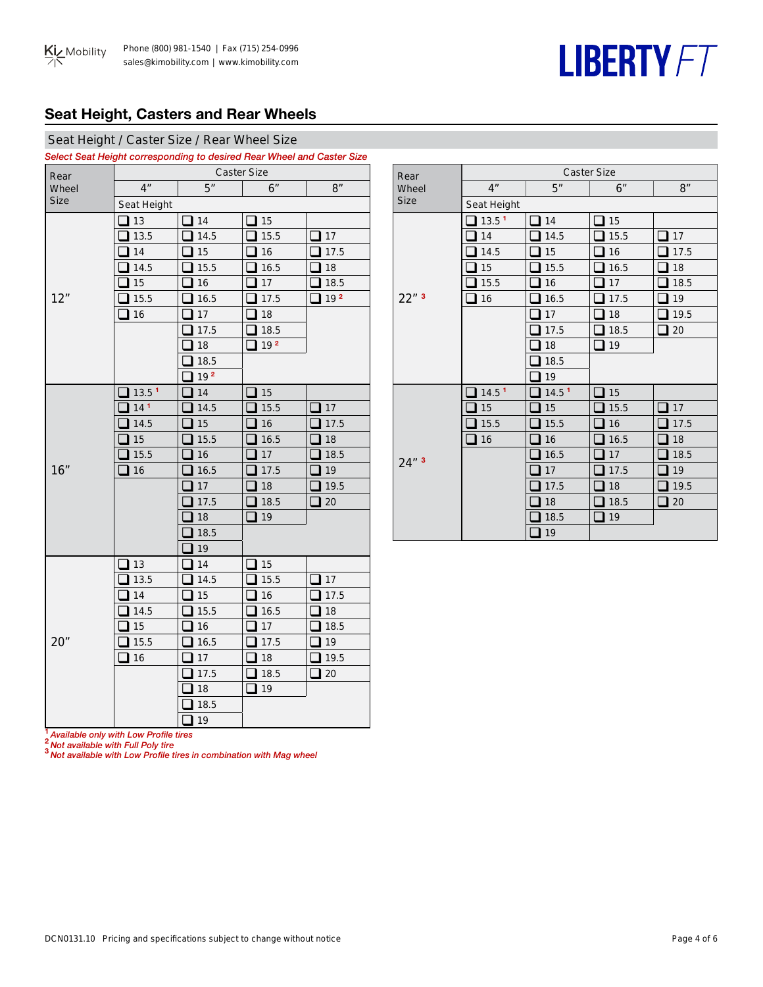## **LIBERTY FT**

## **Seat Height, Casters and Rear Wheels**

### Seat Height / Caster Size / Rear Wheel Size

*Select Seat Height corresponding to desired Rear Wheel and Caster Size*

| Rear        |                      | <b>Caster Size</b> |                 |                 |  |  |  |  |
|-------------|----------------------|--------------------|-----------------|-----------------|--|--|--|--|
| Wheel       | 4 <sup>''</sup>      | 5"                 | 6"              | 8"              |  |  |  |  |
| <b>Size</b> | Seat Height          |                    |                 |                 |  |  |  |  |
|             | 13<br>$\blacksquare$ | 14                 | 15              |                 |  |  |  |  |
|             | 13.5                 | 14.5               | 15.5            | 17              |  |  |  |  |
|             | 14                   | 15                 | 16              | 17.5            |  |  |  |  |
|             | 14.5                 | 15.5               | 16.5            | 18              |  |  |  |  |
|             | 15                   | 16                 | 17              | 18.5            |  |  |  |  |
| 12"         | 15.5                 | 16.5               | 17.5            | 19 <sup>2</sup> |  |  |  |  |
|             | 16                   | 17                 | 18              |                 |  |  |  |  |
|             |                      | 17.5               | 18.5            |                 |  |  |  |  |
|             |                      | 18                 | 19 <sup>2</sup> |                 |  |  |  |  |
|             |                      | 18.5               |                 |                 |  |  |  |  |
|             |                      | 192                |                 |                 |  |  |  |  |
|             | 13.5 <sup>1</sup>    | 14                 | 15              |                 |  |  |  |  |
|             | 14 <sup>1</sup>      | 14.5               | 15.5            | 17              |  |  |  |  |
|             | 14.5                 | 15                 | 16              | 17.5            |  |  |  |  |
|             | 15                   | 15.5               | 16.5            | 18              |  |  |  |  |
|             | 15.5                 | 16                 | 17              | 18.5            |  |  |  |  |
| 16"         | 16                   | 16.5               | 17.5            | 19              |  |  |  |  |
|             |                      | 17                 | 18              | 19.5            |  |  |  |  |
|             |                      | 17.5               | 18.5            | 20              |  |  |  |  |
|             |                      | 18                 | 19              |                 |  |  |  |  |
|             |                      | 18.5               |                 |                 |  |  |  |  |
|             |                      | 19                 |                 |                 |  |  |  |  |
|             | 13                   | 14                 | 15              |                 |  |  |  |  |
|             | 13.5                 | 14.5               | 15.5            | 17              |  |  |  |  |
|             | 14                   | 15                 | 16              | 17.5            |  |  |  |  |
|             | 14.5                 | 15.5               | 16.5            | 18              |  |  |  |  |
|             | 15                   | 16                 | 17              | 18.5            |  |  |  |  |
| 20"         | 15.5                 | 16.5               | 17.5            | 19              |  |  |  |  |
|             | $\Box$ 16            | 17                 | 18              | 19.5            |  |  |  |  |
|             |                      | 17.5               | 18.5            | 20              |  |  |  |  |
|             |                      | 18                 | 19              |                 |  |  |  |  |
|             |                      | 18.5               |                 |                 |  |  |  |  |
|             |                      | 19<br>- 1          |                 |                 |  |  |  |  |

| Rear               |                   |                   | <b>Caster Size</b> |      |
|--------------------|-------------------|-------------------|--------------------|------|
| Wheel              | 4 <sup>n</sup>    | 5"                | 6"                 | 8"   |
| <b>Size</b>        | Seat Height       |                   |                    |      |
|                    | 13.5 <sup>1</sup> | 14                | 15                 |      |
|                    | 14                | 14.5              | 15.5               | 17   |
|                    | 14.5              | 15                | 16                 | 17.5 |
|                    | 15                | 15.5              | 16.5               | 18   |
|                    | 15.5              | 16                | 17                 | 18.5 |
| $22"$ <sup>3</sup> | 16                | 16.5              | 17.5               | 19   |
|                    |                   | 17                | 18                 | 19.5 |
|                    |                   | 17.5              | 18.5               | 20   |
|                    |                   | 18                | 19                 |      |
|                    |                   | 18.5              |                    |      |
|                    |                   | 19                |                    |      |
|                    | 14.5 <sup>1</sup> | 14.5 <sup>1</sup> | 15                 |      |
|                    | 15                | 15                | 15.5               | 17   |
|                    | 15.5              | 15.5              | 16                 | 17.5 |
|                    | 16                | 16                | 16.5               | 18   |
| 24"3               |                   | 16.5              | 17                 | 18.5 |
|                    |                   | 17                | 17.5               | 19   |
|                    |                   | 17.5              | 18                 | 19.5 |
|                    |                   | 18                | 18.5               | 20   |
|                    |                   | 18.5              | 19                 |      |
|                    |                   | 19                |                    |      |

**<sup>1</sup>** *Available only with Low Profile tires*

**<sup>2</sup>** *Not available with Full Poly tire*

**<sup>3</sup>** *Not available with Low Profile tires in combination with Mag wheel*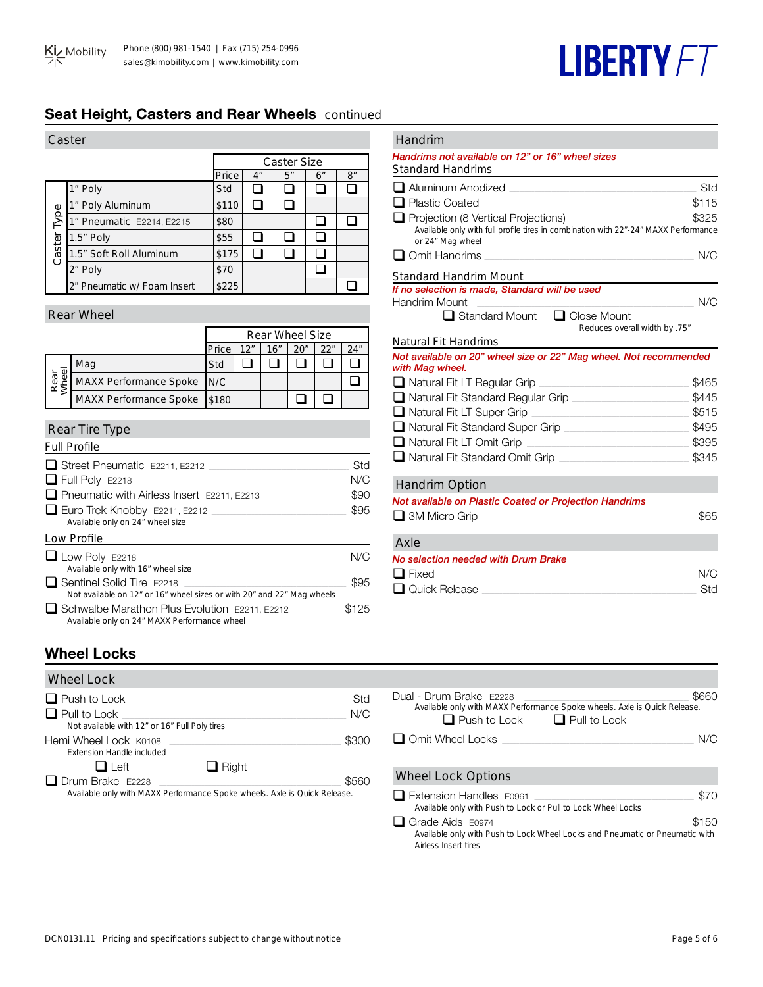

## **Seat Height, Casters and Rear Wheels** continued

| Caster |                             |       |    |    |    |    |
|--------|-----------------------------|-------|----|----|----|----|
|        | <b>Caster Size</b>          |       |    |    |    |    |
|        |                             | Price | 4" | 5" | 6″ | 8" |
|        | 1" Poly                     | Std   |    |    |    |    |
| Туре   | 1" Poly Aluminum            | \$110 |    |    |    |    |
|        | 1" Pneumatic E2214, E2215   | \$80  |    |    |    |    |
|        | $1.5"$ Poly                 | \$55  |    |    |    |    |
| Caster | 1.5" Soft Roll Aluminum     | \$175 |    |    |    |    |
|        | 2" Poly                     | \$70  |    |    |    |    |
|        | 2" Pneumatic w/ Foam Insert | \$225 |    |    |    |    |

#### Rear Wheel

|               |                               | <b>Rear Wheel Size</b> |     |     |     |     |     |
|---------------|-------------------------------|------------------------|-----|-----|-----|-----|-----|
|               |                               | Price                  | 12" | 16" | 20" | 22" | 24″ |
| Rear<br>Vheel | Mag                           | Std                    |     |     |     |     |     |
|               | MAXX Performance Spoke N/C    |                        |     |     |     |     |     |
|               | <b>MAXX Performance Spoke</b> | \$180                  |     |     |     |     |     |

#### Rear Tire Type

| <b>Full Profile</b>                                                                                        |       |
|------------------------------------------------------------------------------------------------------------|-------|
| $\Box$ Street Pneumatic E2211. E2212                                                                       | Std   |
| $\Box$ Full Poly E2218                                                                                     | N/C   |
| $\Box$ Pneumatic with Airless Insert E2211, E2213                                                          | \$90  |
| $\Box$ Euro Trek Knobby E2211, E2212<br>Available only on 24" wheel size                                   | \$95  |
| Low Profile                                                                                                |       |
| $\Box$ Low Poly E2218<br>Available only with 16" wheel size                                                | N/C   |
| $\Box$ Sentinel Solid Tire E2218<br>Not available on 12" or 16" wheel sizes or with 20" and 22" Mag wheels | \$95  |
| □ Schwalbe Marathon Plus Evolution E2211, E2212<br>Available only on 24" MAXX Performance wheel            | \$125 |

#### Handrim

#### *Handrims not available on 12" or 16" wheel sizes*

| <b>Standard Handrims</b>                                                                                |       |
|---------------------------------------------------------------------------------------------------------|-------|
| ■ Aluminum Anodized                                                                                     | Std   |
| <b>■ Plastic Coated</b>                                                                                 | \$115 |
| Projection (8 Vertical Projections)                                                                     | \$325 |
| Available only with full profile tires in combination with 22"-24" MAXX Performance<br>or 24" Mag wheel |       |
| Omit Handrims                                                                                           | N/C   |
| <b>Standard Handrim Mount</b>                                                                           |       |
| If no selection is made, Standard will be used                                                          |       |
| Handrim Mount                                                                                           | N/C   |
| <b>■ Standard Mount</b><br>$\Box$ Close Mount<br>"75. Reduces overall width by                          |       |
| <b>Natural Fit Handrims</b>                                                                             |       |
| Not available on 20" wheel size or 22" Mag wheel. Not recommended<br>with Mag wheel.                    |       |
| ■ Natural Fit LT Regular Grip                                                                           | \$465 |
| Natural Fit Standard Regular Grip                                                                       | \$445 |
| Natural Fit LT Super Grip                                                                               | \$515 |
| Natural Fit Standard Super Grip                                                                         | \$495 |

#### Handrim Option

| Not available on Plastic Coated or Projection Handrims |      |
|--------------------------------------------------------|------|
| $\Box$ 3M Micro Grip                                   | \$65 |
|                                                        |      |

q Natural Fit LT Omit Grip \_\_\_\_\_\_\_\_\_\_\_\_\_\_\_\_\_\_\_\_\_\_\_\_\_\_\_\_\_\_\_\_\_\_\_\_\_\_\_\_\_\_\_\_\_\_\_\_\_\_\_\_\_\_\_\_\_\_\_\_\_\_\_\_\_ \$395 q Natural Fit Standard Omit Grip \_\_\_\_\_\_\_\_\_\_\_\_\_\_\_\_\_\_\_\_\_\_\_\_\_\_\_\_\_\_\_\_\_\_\_\_\_\_\_\_\_\_\_\_\_\_\_\_\_\_\_\_ \$345

| Axle                                |            |
|-------------------------------------|------------|
| No selection needed with Drum Brake |            |
| $\Box$ Fixed                        | N/C        |
| $\Box$ Quick Release                | <b>Std</b> |

## **Wheel Locks**

| <b>Wheel Lock</b>                                                         |              |       |
|---------------------------------------------------------------------------|--------------|-------|
| $\Box$ Push to Lock                                                       |              | Std   |
| $\Box$ Pull to Lock                                                       |              | N/C   |
| Not available with 12" or 16" Full Poly tires                             |              |       |
| Hemi Wheel Lock K0108                                                     |              | \$300 |
| <b>Extension Handle included</b>                                          |              |       |
| $\Box$ Left                                                               | $\Box$ Right |       |
| $\Box$ Drum Brake E2228                                                   |              | \$560 |
| Available only with MAXX Performance Spoke wheels. Axle is Ouick Release. |              |       |

| cci rocv                                                                     |            |                                                                                                                             |                              |
|------------------------------------------------------------------------------|------------|-----------------------------------------------------------------------------------------------------------------------------|------------------------------|
| ush to Lock<br>'ull to Lock<br>Not available with 12" or 16" Full Poly tires | Std<br>N/C | Dual - Drum Brake E2228<br>Available only with MAXX Performance Spoke wheels. Axle is Quick Release.<br>$\Box$ Push to Lock | \$660<br>$\Box$ Pull to Lock |
| i Wheel Lock K0108<br><b>Extension Handle included</b>                       | \$300      | $\Box$ Omit Wheel Locks                                                                                                     | N/C                          |
| $\Box$ Right<br>$\Box$ Left<br>rum Brake E2228                               | \$560      | <b>Wheel Lock Options</b>                                                                                                   |                              |
| Available only with MAXX Performance Spoke wheels. Axle is Quick Release.    |            | $\Box$ Extension Handles $E0961$<br>Available only with Push to Lock or Pull to Lock Wheel Locks                            | \$70                         |
|                                                                              |            | $\Box$ Crode Aide Feeze                                                                                                     | 0.150                        |

q Grade Aids E0974 \_\_\_\_\_\_\_\_\_\_\_\_\_\_\_\_\_\_\_\_\_\_\_\_\_\_\_\_\_\_\_\_\_\_\_\_\_\_\_\_\_\_\_\_\_\_\_\_\_\_\_\_\_\_\_\_\_\_\_\_\_\_\_\_\_\_\_\_\_\_\_\_\_\_\_\_\_ \$150 *Available only with Push to Lock Wheel Locks and Pneumatic or Pneumatic with Airless Insert tires*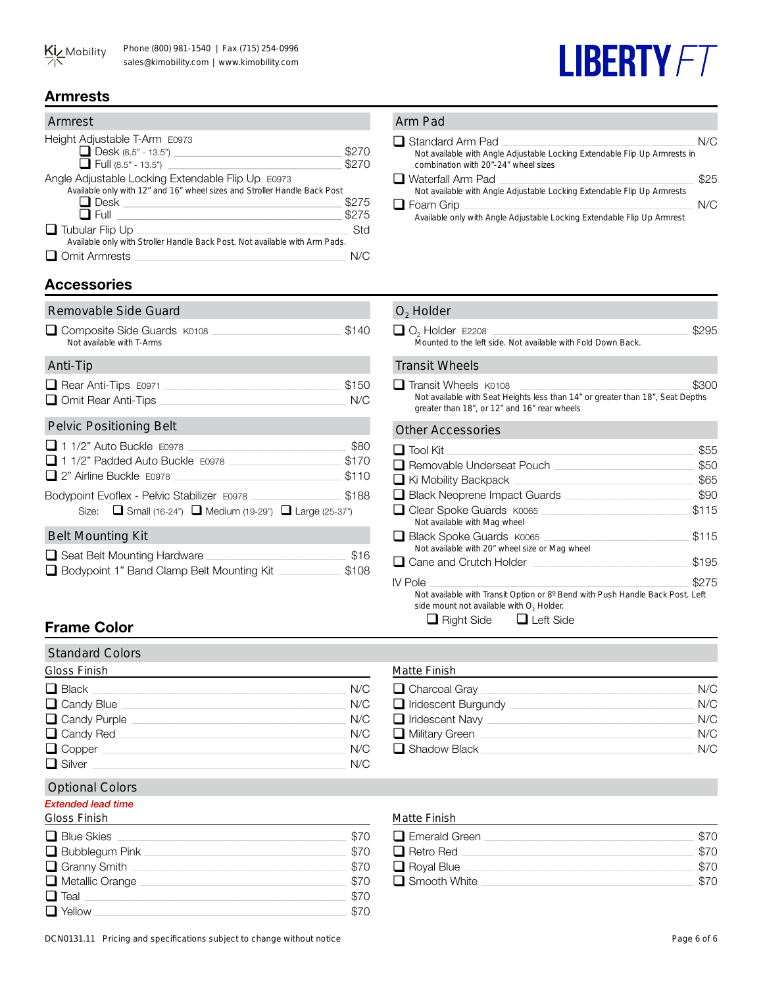## **Armrests**

| Armrest                                                                     |       |
|-----------------------------------------------------------------------------|-------|
| Height Adjustable T-Arm E0973                                               |       |
| $\Box$ Desk (8.5" - 13.5")                                                  | \$270 |
| $\Box$ Full (8.5" - 13.5")                                                  | \$270 |
| Angle Adjustable Locking Extendable Flip Up E0973                           |       |
| Available only with 12" and 16" wheel sizes and Stroller Handle Back Post   |       |
| $\Box$ Desk                                                                 | \$275 |
| $\square$ Full                                                              | \$275 |
| $\Box$ Tubular Flip Up                                                      | Std   |
| Available only with Stroller Handle Back Post. Not available with Arm Pads. |       |
| Omit Armrests                                                               |       |

## **Accessories**

| Removable Side Guard                                                                                     |                        |
|----------------------------------------------------------------------------------------------------------|------------------------|
| Composite Side Guards K0108<br>Not available with T-Arms                                                 | \$140                  |
| Anti-Tip                                                                                                 |                        |
| $\Box$ Rear Anti-Tips $E0971$                                                                            | \$150<br>N/C           |
| <b>Pelvic Positioning Belt</b>                                                                           |                        |
| 1 1/2" Auto Buckle E0978<br>11/2" Padded Auto Buckle E0978<br>$\Box$ 2" Airline Buckle $E$ 0978          | \$80<br>\$170<br>\$110 |
| Bodypoint Evoflex - Pelvic Stabilizer E0978<br>Size: ■ Small (16-24") ■ Medium (19-29") ■ Large (25-37") | \$188                  |
| <b>Belt Mounting Kit</b>                                                                                 |                        |
| $\Box$ Seat Belt Mounting Hardware<br>Bodypoint 1" Band Clamp Belt Mounting Kit                          | \$16<br>\$108          |

#### Arm Pad q Standard Arm Pad \_\_\_\_\_\_\_\_\_\_\_\_\_\_\_\_\_\_\_\_\_\_\_\_\_\_\_\_\_\_\_\_\_\_\_\_\_\_\_\_\_\_\_\_\_\_\_\_\_\_\_\_\_\_\_\_\_\_\_\_\_\_\_\_\_\_\_\_\_\_\_\_\_\_\_\_\_ N/C *Not available with Angle Adjustable Locking Extendable Flip Up Armrests in combination with 20"-24" wheel sizes*  $\Box$  Waterfall Arm Pad  $\Box$

| ∟ Walenali Ann Pau                                                      | ക∠റ |
|-------------------------------------------------------------------------|-----|
| Not available with Angle Adjustable Locking Extendable Flip Up Armrests |     |
| $\Box$ Foam Grip                                                        | N/C |
| Available only with Angle Adjustable Locking Extendable Flip Up Armrest |     |

**LIBERTY FT** 

#### O<sub>2</sub> Holder

| $\Box$ O <sub>2</sub> Holder E2208 |                                                              | \$295 |
|------------------------------------|--------------------------------------------------------------|-------|
|                                    | Mounted to the left side. Not available with Fold Down Back. |       |

#### Transit Wheels

q Transit Wheels K0108\_\_\_\_\_\_\_\_\_\_\_\_\_\_\_\_\_\_\_\_\_\_\_\_\_\_\_\_\_\_\_\_\_\_\_\_\_\_\_\_\_\_\_\_\_\_\_\_\_\_\_\_\_\_\_\_\_\_\_\_\_\_\_\_\_\_\_\_ \$300 *Not available with Seat Heights less than 14" or greater than 18", Seat Depths greater than 18", or 12" and 16" rear wheels*

#### Other Accessories

| <u>omo noocooonoo</u>                                                                                                                                                              |       |
|------------------------------------------------------------------------------------------------------------------------------------------------------------------------------------|-------|
| $\Box$ Tool Kit                                                                                                                                                                    | \$55  |
| □ Removable Underseat Pouch                                                                                                                                                        | \$50  |
| $\Box$ Ki Mobility Backpack                                                                                                                                                        | \$65  |
| Black Neoprene Impact Guards                                                                                                                                                       | \$90  |
| □ Clear Spoke Guards K0065<br>Not available with Mag wheel                                                                                                                         | \$115 |
| □ Black Spoke Guards K0065<br>Not available with 20" wheel size or Mag wheel                                                                                                       | \$115 |
| $\Box$ Cane and Crutch Holder                                                                                                                                                      | \$195 |
| IV Pole<br>Not available with Transit Option or 8° Bend with Push Handle Back Post. Left<br>side mount not available with O <sub>2</sub> Holder.<br>Right Side<br>$\Box$ Left Side | \$275 |
|                                                                                                                                                                                    |       |

## **Frame Color**

## Standard Colors

| <b>Gloss Finish</b> |     |
|---------------------|-----|
| $\Box$ Black        | N/C |
| $\Box$ Candy Blue   | N/C |
| Candy Purple        | N/C |
| $\Box$ Candy Red    | N/C |
| $\Box$ Copper       | N/C |
| $\Box$ Silver       | N/C |

## Optional Colors

## *Extended lead time*

Gloss Finish

| $\Box$ Blue Skies      | \$70 |
|------------------------|------|
| $\Box$ Bubblegum Pink  | \$70 |
| $\Box$ Granny Smith    | \$70 |
| $\Box$ Metallic Orange | \$70 |
| $\Box$ Teal            | \$70 |
| $\Box$ Yellow          | \$70 |

## Matte Finish

| $\Box$ Charcoal Gray       | N/C |
|----------------------------|-----|
| $\Box$ Iridescent Burgundy | N/C |
| $\Box$ Iridescent Navy     | N/C |
| $\Box$ Military Green      | N/C |
| $\Box$ Shadow Black        | N/C |

## Matte Finish

| $\Box$ Emerald Green | \$70 |
|----------------------|------|
| $\Box$ Retro Red     | \$70 |
| $\Box$ Royal Blue    | \$70 |
| $\Box$ Smooth White  | \$70 |